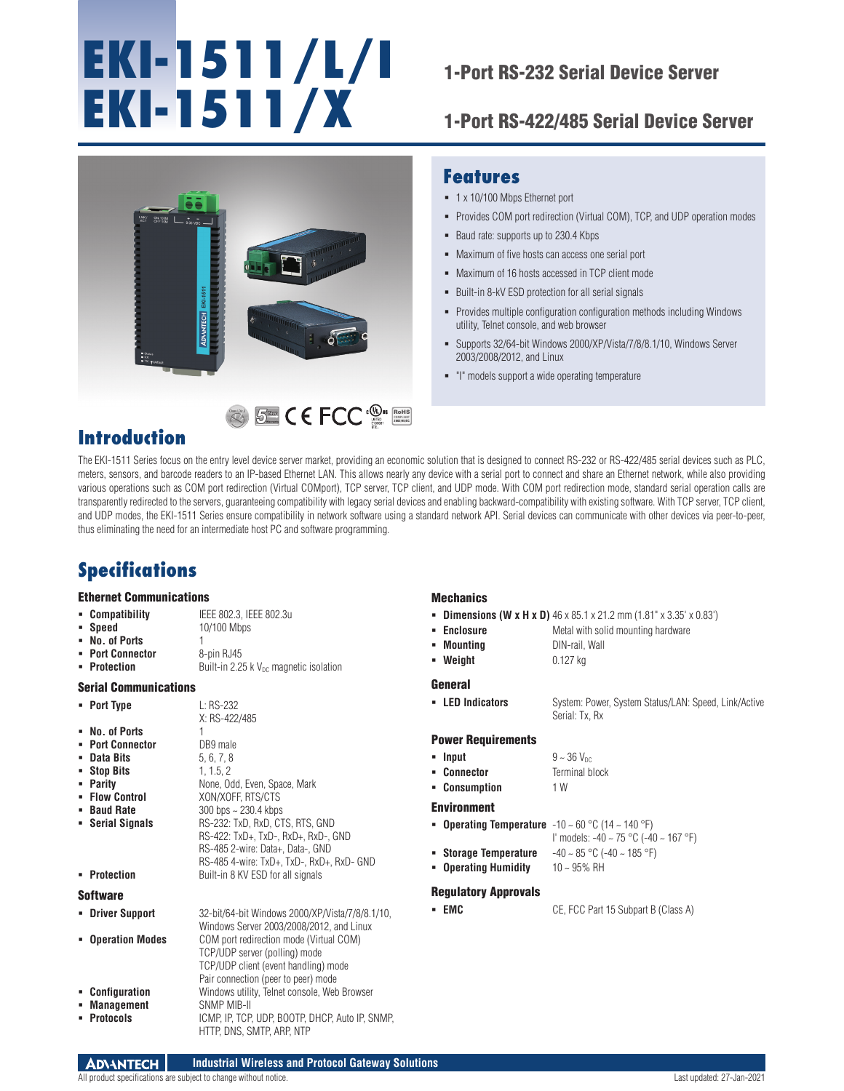# **EKI-1511/L/I EKI-1511/X**

## 1-Port RS-232 Serial Device Server

### 1-Port RS-422/485 Serial Device Server

Provides COM port redirection (Virtual COM), TCP, and UDP operation modes

Provides multiple configuration configuration methods including Windows

Supports 32/64-bit Windows 2000/XP/Vista/7/8/8.1/10, Windows Server



# RoHS **COMPLIANT 2002/95/EC**

# **Introduction**

The EKI-1511 Series focus on the entry level device server market, providing an economic solution that is designed to connect RS-232 or RS-422/485 serial devices such as PLC, meters, sensors, and barcode readers to an IP-based Ethernet LAN. This allows nearly any device with a serial port to connect and share an Ethernet network, while also providing various operations such as COM port redirection (Virtual COMport), TCP server, TCP client, and UDP mode. With COM port redirection mode, standard serial operation calls are transparently redirected to the servers, guaranteeing compatibility with legacy serial devices and enabling backward-compatibility with existing software. With TCP server, TCP client, and UDP modes, the EKI-1511 Series ensure compatibility in network software using a standard network API. Serial devices can communicate with other devices via peer-to-peer, thus eliminating the need for an intermediate host PC and software programming.

# **Specifications**

#### Ethernet Communications

| • Compatibility | IEEE 802.3, IEEE 802.3u |  |
|-----------------|-------------------------|--|
|-----------------|-------------------------|--|

**Speed** 10/100 Mbps

- **No. of Ports Port Connector** 8-pin RJ45
- **Protection** Built-in 2.25 k V<sub>DC</sub> magnetic isolation

#### Serial Communications

**Port Type** L: RS-232

|                | X: RS-422/485 |
|----------------|---------------|
| • No. of Ports |               |

- **Port Connector** DB9 male<br>**Port and Dits** 5.6.7.8
- **Data Bits** 5, 6, 7, 8<br>**Bits** 5, 6, 7, 8<br>**Bits** 5, 1, 1.5, 2
- **Stop Bits**
- **Parity** None, Odd, Even, Space, Mark<br> **Prime: Control** XON/XOFF, RTS/CTS
- 
- **Baud Rate** 300 bps ~ 230.4 kbps **Serial Signals** RS-232: TxD, RxD, CTS, RTS, GND
- - RS-422: TxD+, TxD-, RxD+, RxD-, GND RS-485 2-wire: Data+, Data-, GND RS-485 4-wire: TxD+, TxD-, RxD+, RxD- GND

**Flow Control** XON/XOFF, RTS/CTS

**Protection** Built-in 8 KV ESD for all signals

#### Software

 **Driver Support** 32-bit/64-bit Windows 2000/XP/Vista/7/8/8.1/10, Windows Server 2003/2008/2012, and Linux **Operation Modes** COM port redirection mode (Virtual COM) TCP/UDP server (polling) mode TCP/UDP client (event handling) mode Pair connection (peer to peer) mode **Configuration** Windows utility, Telnet console, Web Browser **Management** SNMP MIB-II **Protocols** ICMP, IP, TCP, UDP, BOOTP, DHCP, Auto IP, SNMP, HTTP, DNS, SMTP, ARP, NTP

#### **Mechanics**

- **Dimensions (W x H x D)** 46 x 85.1 x 21.2 mm (1.81" x 3.35' x 0.83')
- **Enclosure** Metal with solid mounting hardware
- **Mounting** DIN-rail, Wall
- **Weight** 0.127 kg

**Features**

1 x 10/100 Mbps Ethernet port

Baud rate: supports up to 230.4 Kbps

utility, Telnet console, and web browser

2003/2008/2012, and Linux

 Maximum of five hosts can access one serial port **Maximum of 16 hosts accessed in TCP client mode** Built-in 8-kV ESD protection for all serial signals

"I" models support a wide operating temperature

#### General

**LED Indicators** System: Power, System Status/LAN: Speed, Link/Active

#### Power Requirements

- **Input**  $9 \sim 36$  V<sub>DC</sub>
- **Connector Terminal block**
- **Consumption** 1 W

#### Environment

- **Operating Temperature** -10 ~ 60 °C (14 ~ 140 °F)
	- I' models: -40 ~ 75 °C (-40 ~ 167 °F)
	-
- **Operating Humidity** 10 ~ 95% RH

#### Regulatory Approvals

**EMC** CE, FCC Part 15 Subpart B (Class A)

Serial: Tx, Rx

- 
- 
- 
- -
- **Storage Temperature** -40 ~ 85 °C (-40 ~ 185 °F)
	-